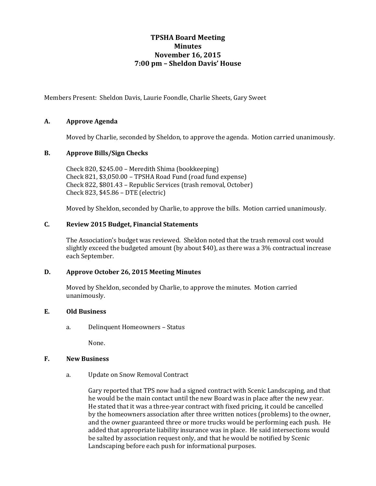# **TPSHA Board Meeting Minutes November 16, 2015 7:00 pm – Sheldon Davis' House**

Members Present: Sheldon Davis, Laurie Foondle, Charlie Sheets, Gary Sweet

# **A. Approve Agenda**

Moved by Charlie, seconded by Sheldon, to approve the agenda. Motion carried unanimously.

### **B. Approve Bills/Sign Checks**

Check 820, \$245.00 – Meredith Shima (bookkeeping) Check 821, \$3,050.00 – TPSHA Road Fund (road fund expense) Check 822, \$801.43 – Republic Services (trash removal, October) Check 823, \$45.86 – DTE (electric)

Moved by Sheldon, seconded by Charlie, to approve the bills. Motion carried unanimously.

#### **C. Review 2015 Budget, Financial Statements**

The Association's budget was reviewed. Sheldon noted that the trash removal cost would slightly exceed the budgeted amount (by about \$40), as there was a 3% contractual increase each September.

#### **D. Approve October 26, 2015 Meeting Minutes**

Moved by Sheldon, seconded by Charlie, to approve the minutes. Motion carried unanimously.

#### **E. Old Business**

a. Delinquent Homeowners – Status

None.

#### **F. New Business**

a. Update on Snow Removal Contract

Gary reported that TPS now had a signed contract with Scenic Landscaping, and that he would be the main contact until the new Board was in place after the new year. He stated that it was a three-year contract with fixed pricing, it could be cancelled by the homeowners association after three written notices (problems) to the owner, and the owner guaranteed three or more trucks would be performing each push. He added that appropriate liability insurance was in place. He said intersections would be salted by association request only, and that he would be notified by Scenic Landscaping before each push for informational purposes.